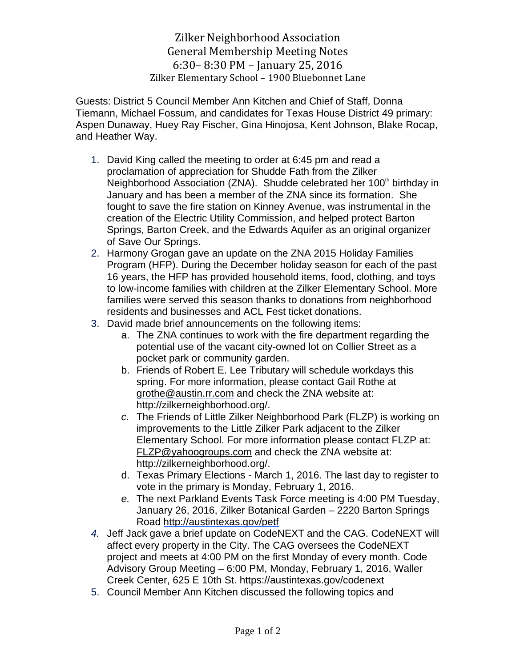## Zilker Neighborhood Association General Membership Meeting Notes 6:30– 8:30 PM – January 25, 2016 Zilker Elementary School – 1900 Bluebonnet Lane

Guests: District 5 Council Member Ann Kitchen and Chief of Staff, Donna Tiemann, Michael Fossum, and candidates for Texas House District 49 primary: Aspen Dunaway, Huey Ray Fischer, Gina Hinojosa, Kent Johnson, Blake Rocap, and Heather Way.

- 1. David King called the meeting to order at 6:45 pm and read a proclamation of appreciation for Shudde Fath from the Zilker Neighborhood Association (ZNA). Shudde celebrated her 100<sup>th</sup> birthday in January and has been a member of the ZNA since its formation. She fought to save the fire station on Kinney Avenue, was instrumental in the creation of the Electric Utility Commission, and helped protect Barton Springs, Barton Creek, and the Edwards Aquifer as an original organizer of Save Our Springs.
- 2. Harmony Grogan gave an update on the ZNA 2015 Holiday Families Program (HFP). During the December holiday season for each of the past 16 years, the HFP has provided household items, food, clothing, and toys to low-income families with children at the Zilker Elementary School. More families were served this season thanks to donations from neighborhood residents and businesses and ACL Fest ticket donations.
- 3. David made brief announcements on the following items:
	- a. The ZNA continues to work with the fire department regarding the potential use of the vacant city-owned lot on Collier Street as a pocket park or community garden.
	- b. Friends of Robert E. Lee Tributary will schedule workdays this spring. For more information, please contact Gail Rothe at [grothe@austin.rr.com](mailto:grothe@austin.rr.com) and check the ZNA website at: http://zilkerneighborhood.org/.
	- *c.* The Friends of Little Zilker Neighborhood Park (FLZP) is working on improvements to the Little Zilker Park adjacent to the Zilker Elementary School. For more information please contact FLZP at: [FLZP@yahoogroups.com](mailto:FLZP@yahoogroups.com) and check the ZNA website at: http://zilkerneighborhood.org/.
	- d. Texas Primary Elections March 1, 2016. The last day to register to vote in the primary is Monday, February 1, 2016.
	- *e.* The next Parkland Events Task Force meeting is 4:00 PM Tuesday, January 26, 2016, Zilker Botanical Garden – 2220 Barton Springs Road<http://austintexas.gov/petf>
- *4.* Jeff Jack gave a brief update on CodeNEXT and the CAG. CodeNEXT will affect every property in the City. The CAG oversees the CodeNEXT project and meets at 4:00 PM on the first Monday of every month. Code Advisory Group Meeting – 6:00 PM, Monday, February 1, 2016, Waller Creek Center, 625 E 10th St.<https://austintexas.gov/codenext>
- 5. Council Member Ann Kitchen discussed the following topics and